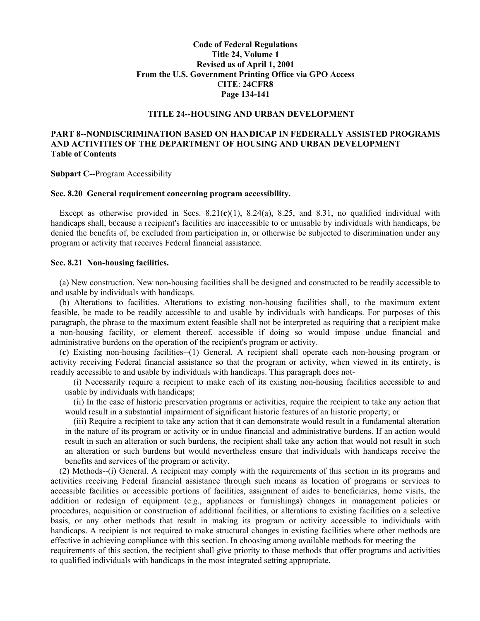# **Code of Federal Regulations Title 24, Volume 1 Revised as of April 1, 2001 From the U.S. Government Printing Office via GPO Access**  C**ITE**: **24CFR8 Page 134-141**

### **TITLE 24--HOUSING AND URBAN DEVELOPMENT**

## **PART 8--NONDISCRIMINATION BASED ON HANDICAP IN FEDERALLY ASSISTED PROGRAMS AND ACTIVITIES OF THE DEPARTMENT OF HOUSING AND URBAN DEVELOPMENT Table of Contents**

**Subpart C**--Program Accessibility

## **Sec. 8.20 General requirement concerning program accessibility.**

Except as otherwise provided in Secs. 8.21(**c**)(1), 8.24(a), 8.25, and 8.31, no qualified individual with handicaps shall, because a recipient's facilities are inaccessible to or unusable by individuals with handicaps, be denied the benefits of, be excluded from participation in, or otherwise be subjected to discrimination under any program or activity that receives Federal financial assistance.

## **Sec. 8.21 Non-housing facilities.**

(a) New construction. New non-housing facilities shall be designed and constructed to be readily accessible to and usable by individuals with handicaps.

(b) Alterations to facilities. Alterations to existing non-housing facilities shall, to the maximum extent feasible, be made to be readily accessible to and usable by individuals with handicaps. For purposes of this paragraph, the phrase to the maximum extent feasible shall not be interpreted as requiring that a recipient make a non-housing facility, or element thereof, accessible if doing so would impose undue financial and administrative burdens on the operation of the recipient's program or activity.

(**c**) Existing non-housing facilities--(1) General. A recipient shall operate each non-housing program or activity receiving Federal financial assistance so that the program or activity, when viewed in its entirety, is readily accessible to and usable by individuals with handicaps. This paragraph does not-

(i) Necessarily require a recipient to make each of its existing non-housing facilities accessible to and usable by individuals with handicaps;

(ii) In the case of historic preservation programs or activities, require the recipient to take any action that would result in a substantial impairment of significant historic features of an historic property; or

(iii) Require a recipient to take any action that it can demonstrate would result in a fundamental alteration in the nature of its program or activity or in undue financial and administrative burdens. If an action would result in such an alteration or such burdens, the recipient shall take any action that would not result in such an alteration or such burdens but would nevertheless ensure that individuals with handicaps receive the benefits and services of the program or activity.

(2) Methods--(i) General. A recipient may comply with the requirements of this section in its programs and activities receiving Federal financial assistance through such means as location of programs or services to accessible facilities or accessible portions of facilities, assignment of aides to beneficiaries, home visits, the addition or redesign of equipment (e.g., appliances or furnishings) changes in management policies or procedures, acquisition or construction of additional facilities, or alterations to existing facilities on a selective basis, or any other methods that result in making its program or activity accessible to individuals with handicaps. A recipient is not required to make structural changes in existing facilities where other methods are effective in achieving compliance with this section. In choosing among available methods for meeting the

requirements of this section, the recipient shall give priority to those methods that offer programs and activities to qualified individuals with handicaps in the most integrated setting appropriate.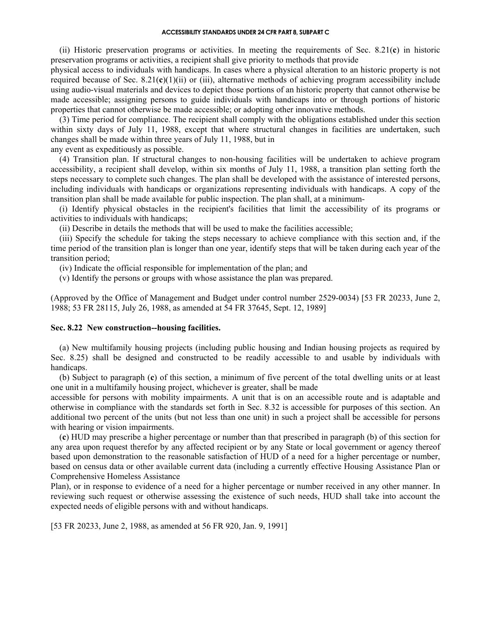(ii) Historic preservation programs or activities. In meeting the requirements of Sec. 8.21(**c**) in historic preservation programs or activities, a recipient shall give priority to methods that provide

physical access to individuals with handicaps. In cases where a physical alteration to an historic property is not required because of Sec. 8.21(**c**)(1)(ii) or (iii), alternative methods of achieving program accessibility include using audio-visual materials and devices to depict those portions of an historic property that cannot otherwise be made accessible; assigning persons to guide individuals with handicaps into or through portions of historic properties that cannot otherwise be made accessible; or adopting other innovative methods.

(3) Time period for compliance. The recipient shall comply with the obligations established under this section within sixty days of July 11, 1988, except that where structural changes in facilities are undertaken, such changes shall be made within three years of July 11, 1988, but in

any event as expeditiously as possible.

(4) Transition plan. If structural changes to non-housing facilities will be undertaken to achieve program accessibility, a recipient shall develop, within six months of July 11, 1988, a transition plan setting forth the steps necessary to complete such changes. The plan shall be developed with the assistance of interested persons, including individuals with handicaps or organizations representing individuals with handicaps. A copy of the transition plan shall be made available for public inspection. The plan shall, at a minimum-

(i) Identify physical obstacles in the recipient's facilities that limit the accessibility of its programs or activities to individuals with handicaps;

(ii) Describe in details the methods that will be used to make the facilities accessible;

(iii) Specify the schedule for taking the steps necessary to achieve compliance with this section and, if the time period of the transition plan is longer than one year, identify steps that will be taken during each year of the transition period;

(iv) Indicate the official responsible for implementation of the plan; and

(v) Identify the persons or groups with whose assistance the plan was prepared.

(Approved by the Office of Management and Budget under control number 2529-0034) [53 FR 20233, June 2, 1988; 53 FR 28115, July 26, 1988, as amended at 54 FR 37645, Sept. 12, 1989]

# **Sec. 8.22 New construction--housing facilities.**

(a) New multifamily housing projects (including public housing and Indian housing projects as required by Sec. 8.25) shall be designed and constructed to be readily accessible to and usable by individuals with handicaps.

(b) Subject to paragraph (**c**) of this section, a minimum of five percent of the total dwelling units or at least one unit in a multifamily housing project, whichever is greater, shall be made

accessible for persons with mobility impairments. A unit that is on an accessible route and is adaptable and otherwise in compliance with the standards set forth in Sec. 8.32 is accessible for purposes of this section. An additional two percent of the units (but not less than one unit) in such a project shall be accessible for persons with hearing or vision impairments.

(**c**) HUD may prescribe a higher percentage or number than that prescribed in paragraph (b) of this section for any area upon request therefor by any affected recipient or by any State or local government or agency thereof based upon demonstration to the reasonable satisfaction of HUD of a need for a higher percentage or number, based on census data or other available current data (including a currently effective Housing Assistance Plan or Comprehensive Homeless Assistance

Plan), or in response to evidence of a need for a higher percentage or number received in any other manner. In reviewing such request or otherwise assessing the existence of such needs, HUD shall take into account the expected needs of eligible persons with and without handicaps.

[53 FR 20233, June 2, 1988, as amended at 56 FR 920, Jan. 9, 1991]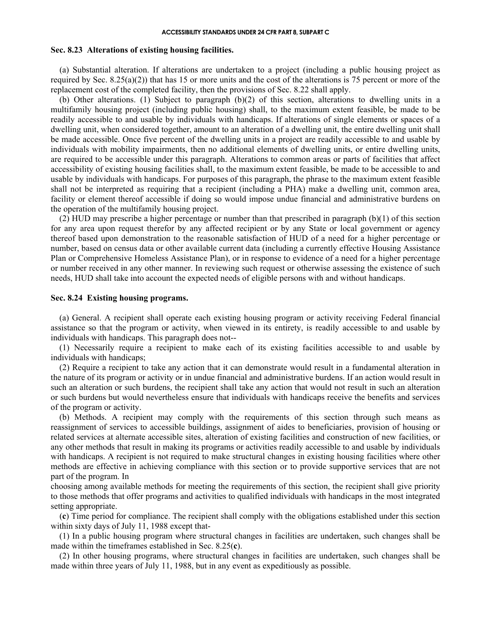### **Sec. 8.23 Alterations of existing housing facilities.**

(a) Substantial alteration. If alterations are undertaken to a project (including a public housing project as required by Sec.  $8.25(a)(2)$ ) that has 15 or more units and the cost of the alterations is 75 percent or more of the replacement cost of the completed facility, then the provisions of Sec. 8.22 shall apply.

(b) Other alterations. (1) Subject to paragraph (b)(2) of this section, alterations to dwelling units in a multifamily housing project (including public housing) shall, to the maximum extent feasible, be made to be readily accessible to and usable by individuals with handicaps. If alterations of single elements or spaces of a dwelling unit, when considered together, amount to an alteration of a dwelling unit, the entire dwelling unit shall be made accessible. Once five percent of the dwelling units in a project are readily accessible to and usable by individuals with mobility impairments, then no additional elements of dwelling units, or entire dwelling units, are required to be accessible under this paragraph. Alterations to common areas or parts of facilities that affect accessibility of existing housing facilities shall, to the maximum extent feasible, be made to be accessible to and usable by individuals with handicaps. For purposes of this paragraph, the phrase to the maximum extent feasible shall not be interpreted as requiring that a recipient (including a PHA) make a dwelling unit, common area, facility or element thereof accessible if doing so would impose undue financial and administrative burdens on the operation of the multifamily housing project.

(2) HUD may prescribe a higher percentage or number than that prescribed in paragraph (b)(1) of this section for any area upon request therefor by any affected recipient or by any State or local government or agency thereof based upon demonstration to the reasonable satisfaction of HUD of a need for a higher percentage or number, based on census data or other available current data (including a currently effective Housing Assistance Plan or Comprehensive Homeless Assistance Plan), or in response to evidence of a need for a higher percentage or number received in any other manner. In reviewing such request or otherwise assessing the existence of such needs, HUD shall take into account the expected needs of eligible persons with and without handicaps.

#### **Sec. 8.24 Existing housing programs.**

(a) General. A recipient shall operate each existing housing program or activity receiving Federal financial assistance so that the program or activity, when viewed in its entirety, is readily accessible to and usable by individuals with handicaps. This paragraph does not--

(1) Necessarily require a recipient to make each of its existing facilities accessible to and usable by individuals with handicaps;

(2) Require a recipient to take any action that it can demonstrate would result in a fundamental alteration in the nature of its program or activity or in undue financial and administrative burdens. If an action would result in such an alteration or such burdens, the recipient shall take any action that would not result in such an alteration or such burdens but would nevertheless ensure that individuals with handicaps receive the benefits and services of the program or activity.

(b) Methods. A recipient may comply with the requirements of this section through such means as reassignment of services to accessible buildings, assignment of aides to beneficiaries, provision of housing or related services at alternate accessible sites, alteration of existing facilities and construction of new facilities, or any other methods that result in making its programs or activities readily accessible to and usable by individuals with handicaps. A recipient is not required to make structural changes in existing housing facilities where other methods are effective in achieving compliance with this section or to provide supportive services that are not part of the program. In

choosing among available methods for meeting the requirements of this section, the recipient shall give priority to those methods that offer programs and activities to qualified individuals with handicaps in the most integrated setting appropriate.

(**c**) Time period for compliance. The recipient shall comply with the obligations established under this section within sixty days of July 11, 1988 except that-

(1) In a public housing program where structural changes in facilities are undertaken, such changes shall be made within the timeframes established in Sec. 8.25(**c**).

(2) In other housing programs, where structural changes in facilities are undertaken, such changes shall be made within three years of July 11, 1988, but in any event as expeditiously as possible.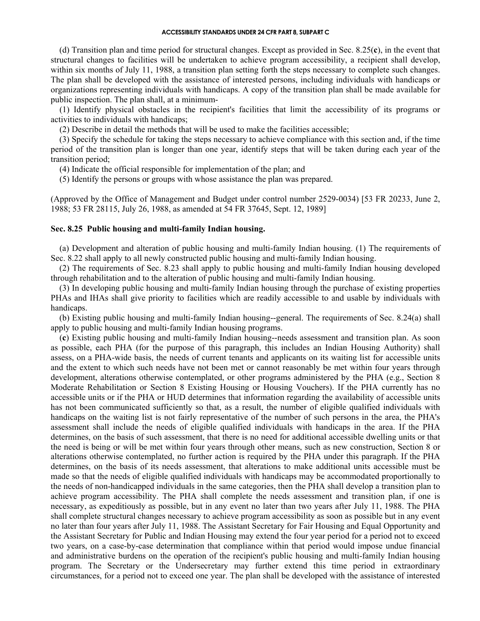(d) Transition plan and time period for structural changes. Except as provided in Sec. 8.25(**c**), in the event that structural changes to facilities will be undertaken to achieve program accessibility, a recipient shall develop, within six months of July 11, 1988, a transition plan setting forth the steps necessary to complete such changes. The plan shall be developed with the assistance of interested persons, including individuals with handicaps or organizations representing individuals with handicaps. A copy of the transition plan shall be made available for public inspection. The plan shall, at a minimum-

(1) Identify physical obstacles in the recipient's facilities that limit the accessibility of its programs or activities to individuals with handicaps;

(2) Describe in detail the methods that will be used to make the facilities accessible;

(3) Specify the schedule for taking the steps necessary to achieve compliance with this section and, if the time period of the transition plan is longer than one year, identify steps that will be taken during each year of the transition period;

(4) Indicate the official responsible for implementation of the plan; and

(5) Identify the persons or groups with whose assistance the plan was prepared.

(Approved by the Office of Management and Budget under control number 2529-0034) [53 FR 20233, June 2, 1988; 53 FR 28115, July 26, 1988, as amended at 54 FR 37645, Sept. 12, 1989]

# **Sec. 8.25 Public housing and multi-family Indian housing.**

(a) Development and alteration of public housing and multi-family Indian housing. (1) The requirements of Sec. 8.22 shall apply to all newly constructed public housing and multi-family Indian housing.

(2) The requirements of Sec. 8.23 shall apply to public housing and multi-family Indian housing developed through rehabilitation and to the alteration of public housing and multi-family Indian housing.

(3) In developing public housing and multi-family Indian housing through the purchase of existing properties PHAs and IHAs shall give priority to facilities which are readily accessible to and usable by individuals with handicaps.

(b) Existing public housing and multi-family Indian housing--general. The requirements of Sec. 8.24(a) shall apply to public housing and multi-family Indian housing programs.

(**c**) Existing public housing and multi-family Indian housing--needs assessment and transition plan. As soon as possible, each PHA (for the purpose of this paragraph, this includes an Indian Housing Authority) shall assess, on a PHA-wide basis, the needs of current tenants and applicants on its waiting list for accessible units and the extent to which such needs have not been met or cannot reasonably be met within four years through development, alterations otherwise contemplated, or other programs administered by the PHA (e.g., Section 8 Moderate Rehabilitation or Section 8 Existing Housing or Housing Vouchers). If the PHA currently has no accessible units or if the PHA or HUD determines that information regarding the availability of accessible units has not been communicated sufficiently so that, as a result, the number of eligible qualified individuals with handicaps on the waiting list is not fairly representative of the number of such persons in the area, the PHA's assessment shall include the needs of eligible qualified individuals with handicaps in the area. If the PHA determines, on the basis of such assessment, that there is no need for additional accessible dwelling units or that the need is being or will be met within four years through other means, such as new construction, Section 8 or alterations otherwise contemplated, no further action is required by the PHA under this paragraph. If the PHA determines, on the basis of its needs assessment, that alterations to make additional units accessible must be made so that the needs of eligible qualified individuals with handicaps may be accommodated proportionally to the needs of non-handicapped individuals in the same categories, then the PHA shall develop a transition plan to achieve program accessibility. The PHA shall complete the needs assessment and transition plan, if one is necessary, as expeditiously as possible, but in any event no later than two years after July 11, 1988. The PHA shall complete structural changes necessary to achieve program accessibility as soon as possible but in any event no later than four years after July 11, 1988. The Assistant Secretary for Fair Housing and Equal Opportunity and the Assistant Secretary for Public and Indian Housing may extend the four year period for a period not to exceed two years, on a case-by-case determination that compliance within that period would impose undue financial and administrative burdens on the operation of the recipient's public housing and multi-family Indian housing program. The Secretary or the Undersecretary may further extend this time period in extraordinary circumstances, for a period not to exceed one year. The plan shall be developed with the assistance of interested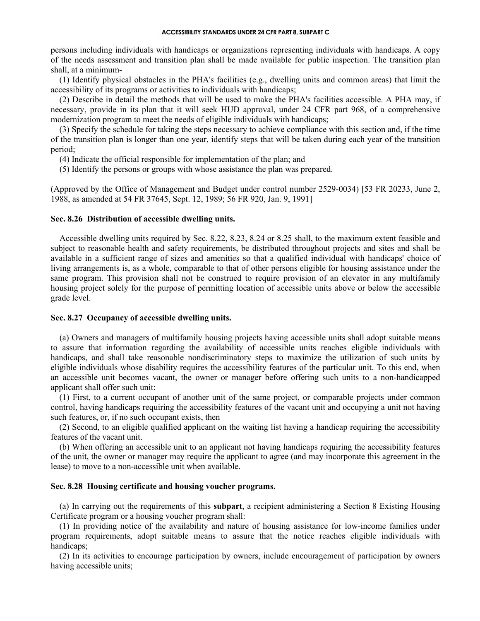persons including individuals with handicaps or organizations representing individuals with handicaps. A copy of the needs assessment and transition plan shall be made available for public inspection. The transition plan shall, at a minimum-

(1) Identify physical obstacles in the PHA's facilities (e.g., dwelling units and common areas) that limit the accessibility of its programs or activities to individuals with handicaps;

(2) Describe in detail the methods that will be used to make the PHA's facilities accessible. A PHA may, if necessary, provide in its plan that it will seek HUD approval, under 24 CFR part 968, of a comprehensive modernization program to meet the needs of eligible individuals with handicaps;

(3) Specify the schedule for taking the steps necessary to achieve compliance with this section and, if the time of the transition plan is longer than one year, identify steps that will be taken during each year of the transition period;

(4) Indicate the official responsible for implementation of the plan; and

(5) Identify the persons or groups with whose assistance the plan was prepared.

(Approved by the Office of Management and Budget under control number 2529-0034) [53 FR 20233, June 2, 1988, as amended at 54 FR 37645, Sept. 12, 1989; 56 FR 920, Jan. 9, 1991]

## **Sec. 8.26 Distribution of accessible dwelling units.**

Accessible dwelling units required by Sec. 8.22, 8.23, 8.24 or 8.25 shall, to the maximum extent feasible and subject to reasonable health and safety requirements, be distributed throughout projects and sites and shall be available in a sufficient range of sizes and amenities so that a qualified individual with handicaps' choice of living arrangements is, as a whole, comparable to that of other persons eligible for housing assistance under the same program. This provision shall not be construed to require provision of an elevator in any multifamily housing project solely for the purpose of permitting location of accessible units above or below the accessible grade level.

# **Sec. 8.27 Occupancy of accessible dwelling units.**

(a) Owners and managers of multifamily housing projects having accessible units shall adopt suitable means to assure that information regarding the availability of accessible units reaches eligible individuals with handicaps, and shall take reasonable nondiscriminatory steps to maximize the utilization of such units by eligible individuals whose disability requires the accessibility features of the particular unit. To this end, when an accessible unit becomes vacant, the owner or manager before offering such units to a non-handicapped applicant shall offer such unit:

(1) First, to a current occupant of another unit of the same project, or comparable projects under common control, having handicaps requiring the accessibility features of the vacant unit and occupying a unit not having such features, or, if no such occupant exists, then

(2) Second, to an eligible qualified applicant on the waiting list having a handicap requiring the accessibility features of the vacant unit.

(b) When offering an accessible unit to an applicant not having handicaps requiring the accessibility features of the unit, the owner or manager may require the applicant to agree (and may incorporate this agreement in the lease) to move to a non-accessible unit when available.

# **Sec. 8.28 Housing certificate and housing voucher programs.**

(a) In carrying out the requirements of this **subpart**, a recipient administering a Section 8 Existing Housing Certificate program or a housing voucher program shall:

(1) In providing notice of the availability and nature of housing assistance for low-income families under program requirements, adopt suitable means to assure that the notice reaches eligible individuals with handicaps;

(2) In its activities to encourage participation by owners, include encouragement of participation by owners having accessible units;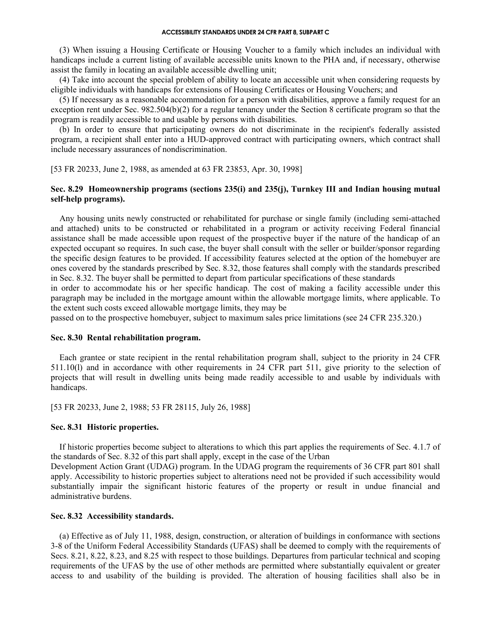(3) When issuing a Housing Certificate or Housing Voucher to a family which includes an individual with handicaps include a current listing of available accessible units known to the PHA and, if necessary, otherwise assist the family in locating an available accessible dwelling unit;

(4) Take into account the special problem of ability to locate an accessible unit when considering requests by eligible individuals with handicaps for extensions of Housing Certificates or Housing Vouchers; and

(5) If necessary as a reasonable accommodation for a person with disabilities, approve a family request for an exception rent under Sec. 982.504(b)(2) for a regular tenancy under the Section 8 certificate program so that the program is readily accessible to and usable by persons with disabilities.

(b) In order to ensure that participating owners do not discriminate in the recipient's federally assisted program, a recipient shall enter into a HUD-approved contract with participating owners, which contract shall include necessary assurances of nondiscrimination.

[53 FR 20233, June 2, 1988, as amended at 63 FR 23853, Apr. 30, 1998]

## **Sec. 8.29 Homeownership programs (sections 235(i) and 235(j), Turnkey III and Indian housing mutual self-help programs).**

Any housing units newly constructed or rehabilitated for purchase or single family (including semi-attached and attached) units to be constructed or rehabilitated in a program or activity receiving Federal financial assistance shall be made accessible upon request of the prospective buyer if the nature of the handicap of an expected occupant so requires. In such case, the buyer shall consult with the seller or builder/sponsor regarding the specific design features to be provided. If accessibility features selected at the option of the homebuyer are ones covered by the standards prescribed by Sec. 8.32, those features shall comply with the standards prescribed in Sec. 8.32. The buyer shall be permitted to depart from particular specifications of these standards

in order to accommodate his or her specific handicap. The cost of making a facility accessible under this paragraph may be included in the mortgage amount within the allowable mortgage limits, where applicable. To the extent such costs exceed allowable mortgage limits, they may be

passed on to the prospective homebuyer, subject to maximum sales price limitations (see 24 CFR 235.320.)

#### **Sec. 8.30 Rental rehabilitation program.**

Each grantee or state recipient in the rental rehabilitation program shall, subject to the priority in 24 CFR 511.10(l) and in accordance with other requirements in 24 CFR part 511, give priority to the selection of projects that will result in dwelling units being made readily accessible to and usable by individuals with handicaps.

[53 FR 20233, June 2, 1988; 53 FR 28115, July 26, 1988]

# **Sec. 8.31 Historic properties.**

If historic properties become subject to alterations to which this part applies the requirements of Sec. 4.1.7 of the standards of Sec. 8.32 of this part shall apply, except in the case of the Urban

Development Action Grant (UDAG) program. In the UDAG program the requirements of 36 CFR part 801 shall apply. Accessibility to historic properties subject to alterations need not be provided if such accessibility would substantially impair the significant historic features of the property or result in undue financial and administrative burdens.

### **Sec. 8.32 Accessibility standards.**

(a) Effective as of July 11, 1988, design, construction, or alteration of buildings in conformance with sections 3-8 of the Uniform Federal Accessibility Standards (UFAS) shall be deemed to comply with the requirements of Secs. 8.21, 8.22, 8.23, and 8.25 with respect to those buildings. Departures from particular technical and scoping requirements of the UFAS by the use of other methods are permitted where substantially equivalent or greater access to and usability of the building is provided. The alteration of housing facilities shall also be in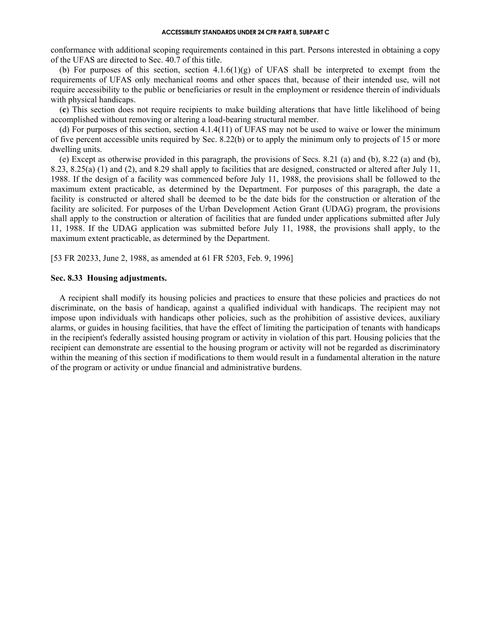conformance with additional scoping requirements contained in this part. Persons interested in obtaining a copy of the UFAS are directed to Sec. 40.7 of this title.

(b) For purposes of this section, section  $4.1.6(1)(g)$  of UFAS shall be interpreted to exempt from the requirements of UFAS only mechanical rooms and other spaces that, because of their intended use, will not require accessibility to the public or beneficiaries or result in the employment or residence therein of individuals with physical handicaps.

(**c**) This section does not require recipients to make building alterations that have little likelihood of being accomplished without removing or altering a load-bearing structural member.

(d) For purposes of this section, section 4.1.4(11) of UFAS may not be used to waive or lower the minimum of five percent accessible units required by Sec. 8.22(b) or to apply the minimum only to projects of 15 or more dwelling units.

(e) Except as otherwise provided in this paragraph, the provisions of Secs. 8.21 (a) and (b), 8.22 (a) and (b), 8.23, 8.25(a) (1) and (2), and 8.29 shall apply to facilities that are designed, constructed or altered after July 11, 1988. If the design of a facility was commenced before July 11, 1988, the provisions shall be followed to the maximum extent practicable, as determined by the Department. For purposes of this paragraph, the date a facility is constructed or altered shall be deemed to be the date bids for the construction or alteration of the facility are solicited. For purposes of the Urban Development Action Grant (UDAG) program, the provisions shall apply to the construction or alteration of facilities that are funded under applications submitted after July 11, 1988. If the UDAG application was submitted before July 11, 1988, the provisions shall apply, to the maximum extent practicable, as determined by the Department.

[53 FR 20233, June 2, 1988, as amended at 61 FR 5203, Feb. 9, 1996]

#### **Sec. 8.33 Housing adjustments.**

A recipient shall modify its housing policies and practices to ensure that these policies and practices do not discriminate, on the basis of handicap, against a qualified individual with handicaps. The recipient may not impose upon individuals with handicaps other policies, such as the prohibition of assistive devices, auxiliary alarms, or guides in housing facilities, that have the effect of limiting the participation of tenants with handicaps in the recipient's federally assisted housing program or activity in violation of this part. Housing policies that the recipient can demonstrate are essential to the housing program or activity will not be regarded as discriminatory within the meaning of this section if modifications to them would result in a fundamental alteration in the nature of the program or activity or undue financial and administrative burdens.